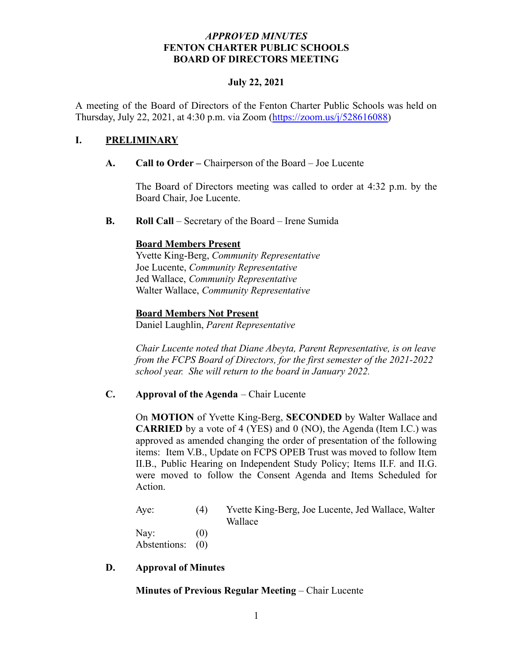### *APPROVED MINUTES* **FENTON CHARTER PUBLIC SCHOOLS BOARD OF DIRECTORS MEETING**

### **July 22, 2021**

A meeting of the Board of Directors of the Fenton Charter Public Schools was held on Thursday, July 22, 2021, at 4:30 p.m. via Zoom [\(https://zoom.us/j/528616088\)](https://zoom.us/j/528616088)

### **I. PRELIMINARY**

#### **A. Call to Order –** Chairperson of the Board – Joe Lucente

The Board of Directors meeting was called to order at 4:32 p.m. by the Board Chair, Joe Lucente.

**B. Roll Call** – Secretary of the Board – Irene Sumida

#### **Board Members Present**

Yvette King-Berg, *Community Representative* Joe Lucente, *Community Representative* Jed Wallace, *Community Representative* Walter Wallace, *Community Representative*

#### **Board Members Not Present**

Daniel Laughlin, *Parent Representative*

*Chair Lucente noted that Diane Abeyta, Parent Representative, is on leave from the FCPS Board of Directors, for the first semester of the 2021-2022 school year. She will return to the board in January 2022.*

#### **C. Approval of the Agenda** – Chair Lucente

On **MOTION** of Yvette King-Berg, **SECONDED** by Walter Wallace and **CARRIED** by a vote of 4 (YES) and 0 (NO), the Agenda (Item I.C.) was approved as amended changing the order of presentation of the following items: Item V.B., Update on FCPS OPEB Trust was moved to follow Item II.B., Public Hearing on Independent Study Policy; Items II.F. and II.G. were moved to follow the Consent Agenda and Items Scheduled for Action.

Aye: (4) Yvette King-Berg, Joe Lucente, Jed Wallace, Walter Wallace Nay:  $(0)$ Abstentions: (0)

#### **D. Approval of Minutes**

#### **Minutes of Previous Regular Meeting** – Chair Lucente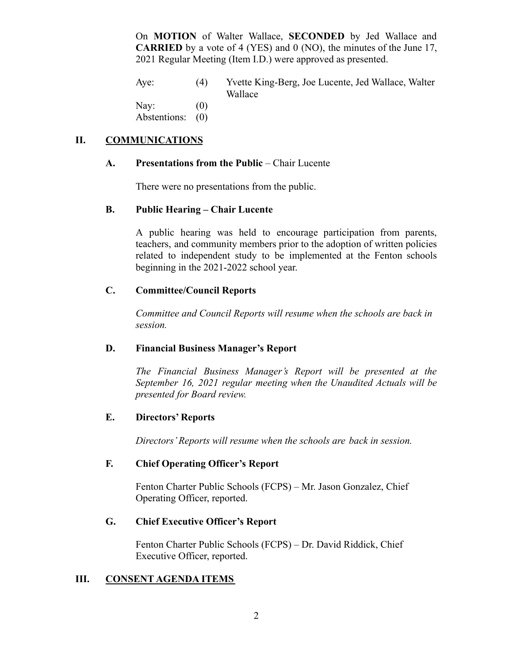On **MOTION** of Walter Wallace, **SECONDED** by Jed Wallace and **CARRIED** by a vote of 4 (YES) and 0 (NO), the minutes of the June 17, 2021 Regular Meeting (Item I.D.) were approved as presented.

Aye: (4) Yvette King-Berg, Joe Lucente, Jed Wallace, Walter Wallace

Nav:  $(0)$ 

Abstentions: (0)

## **II. COMMUNICATIONS**

### **A. Presentations from the Public** – Chair Lucente

There were no presentations from the public.

## **B. Public Hearing – Chair Lucente**

A public hearing was held to encourage participation from parents, teachers, and community members prior to the adoption of written policies related to independent study to be implemented at the Fenton schools beginning in the 2021-2022 school year.

### **C. Committee/Council Reports**

*Committee and Council Reports will resume when the schools are back in session.*

## **D. Financial Business Manager's Report**

*The Financial Business Manager's Report will be presented at the September 16, 2021 regular meeting when the Unaudited Actuals will be presented for Board review.*

### **E. Directors' Reports**

*Directors' Reports will resume when the schools are back in session.*

### **F. Chief Operating Officer's Report**

Fenton Charter Public Schools (FCPS) – Mr. Jason Gonzalez, Chief Operating Officer, reported.

### **G. Chief Executive Officer's Report**

Fenton Charter Public Schools (FCPS) – Dr. David Riddick, Chief Executive Officer, reported.

### **III. CONSENT AGENDA ITEMS**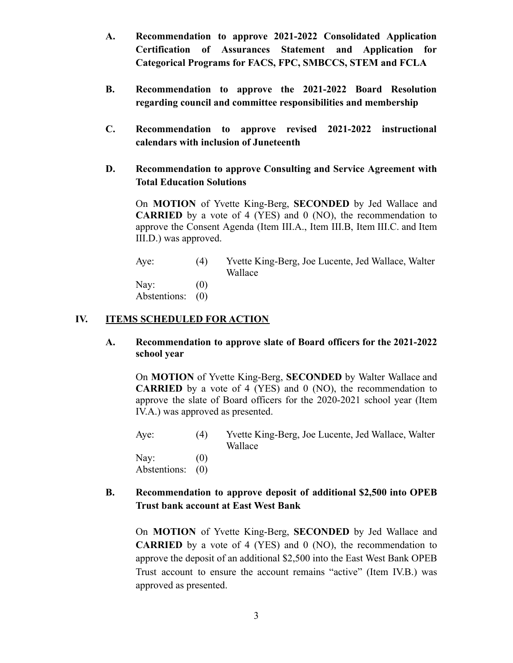- **A. Recommendation to approve 2021-2022 Consolidated Application Certification of Assurances Statement and Application for Categorical Programs for FACS, FPC, SMBCCS, STEM and FCLA**
- **B. Recommendation to approve the 2021-2022 Board Resolution regarding council and committee responsibilities and membership**
- **C. Recommendation to approve revised 2021-2022 instructional calendars with inclusion of Juneteenth**
- **D. Recommendation to approve Consulting and Service Agreement with Total Education Solutions**

On **MOTION** of Yvette King-Berg, **SECONDED** by Jed Wallace and **CARRIED** by a vote of 4 (YES) and 0 (NO), the recommendation to approve the Consent Agenda (Item III.A., Item III.B, Item III.C. and Item III.D.) was approved.

Aye: (4) Yvette King-Berg, Joe Lucente, Jed Wallace, Walter Wallace Nay:  $(0)$ Abstentions: (0)

### **IV. ITEMS SCHEDULED FOR ACTION**

**A. Recommendation to approve slate of Board officers for the 2021-2022 school year**

On **MOTION** of Yvette King-Berg, **SECONDED** by Walter Wallace and **CARRIED** by a vote of 4 (YES) and 0 (NO), the recommendation to approve the slate of Board officers for the 2020-2021 school year (Item IV.A.) was approved as presented.

Aye: (4) Yvette King-Berg, Joe Lucente, Jed Wallace, Walter Wallace

Nav:  $(0)$ Abstentions: (0)

**B. Recommendation to approve deposit of additional \$2,500 into OPEB Trust bank account at East West Bank**

On **MOTION** of Yvette King-Berg, **SECONDED** by Jed Wallace and **CARRIED** by a vote of 4 (YES) and 0 (NO), the recommendation to approve the deposit of an additional \$2,500 into the East West Bank OPEB Trust account to ensure the account remains "active" (Item IV.B.) was approved as presented.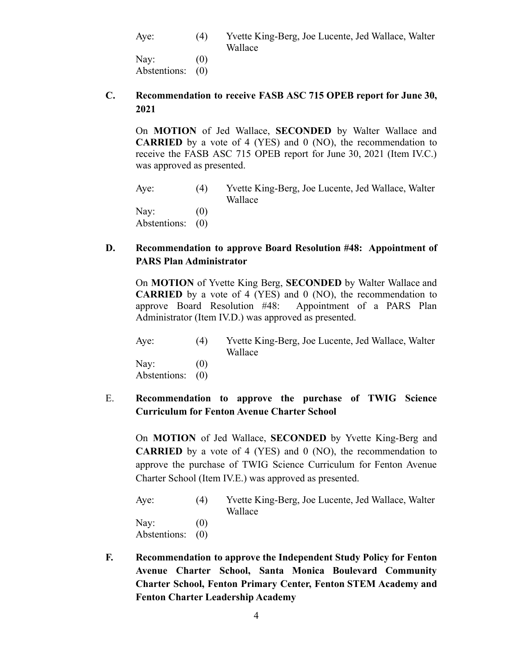Aye: (4) Yvette King-Berg, Joe Lucente, Jed Wallace, Walter Wallace Nay:  $(0)$ 

Abstentions: (0)

### **C. Recommendation to receive FASB ASC 715 OPEB report for June 30, 2021**

On **MOTION** of Jed Wallace, **SECONDED** by Walter Wallace and **CARRIED** by a vote of 4 (YES) and 0 (NO), the recommendation to receive the FASB ASC 715 OPEB report for June 30, 2021 (Item IV.C.) was approved as presented.

Aye: (4) Yvette King-Berg, Joe Lucente, Jed Wallace, Walter Wallace Nay:  $(0)$ Abstentions: (0)

## **D. Recommendation to approve Board Resolution #48: Appointment of PARS Plan Administrator**

On **MOTION** of Yvette King Berg, **SECONDED** by Walter Wallace and **CARRIED** by a vote of 4 (YES) and 0 (NO), the recommendation to approve Board Resolution #48: Appointment of a PARS Plan Administrator (Item IV.D.) was approved as presented.

Aye: (4) Yvette King-Berg, Joe Lucente, Jed Wallace, Walter Wallace Nay:  $(0)$ Abstentions: (0)

# E. **Recommendation to approve the purchase of TWIG Science Curriculum for Fenton Avenue Charter School**

On **MOTION** of Jed Wallace, **SECONDED** by Yvette King-Berg and **CARRIED** by a vote of 4 (YES) and 0 (NO), the recommendation to approve the purchase of TWIG Science Curriculum for Fenton Avenue Charter School (Item IV.E.) was approved as presented.

| Aye:         | (4) | Yvette King-Berg, Joe Lucente, Jed Wallace, Walter |
|--------------|-----|----------------------------------------------------|
|              |     | Wallace                                            |
| Nay:         | (() |                                                    |
| Abstentions: | (0) |                                                    |

**F. Recommendation to approve the Independent Study Policy for Fenton Avenue Charter School, Santa Monica Boulevard Community Charter School, Fenton Primary Center, Fenton STEM Academy and Fenton Charter Leadership Academy**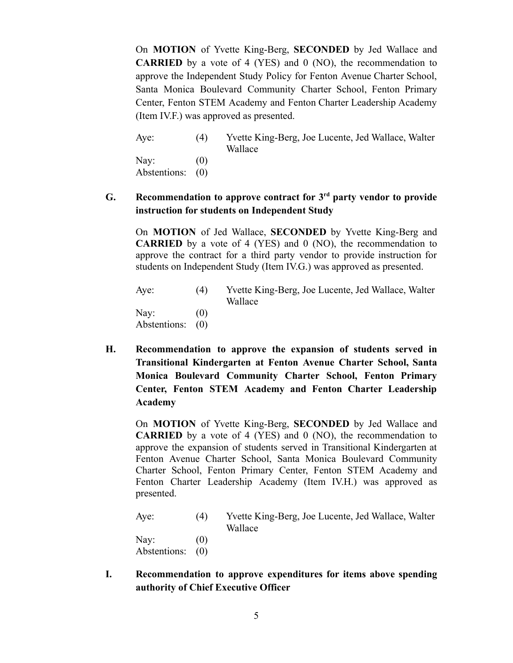On **MOTION** of Yvette King-Berg, **SECONDED** by Jed Wallace and **CARRIED** by a vote of 4 (YES) and 0 (NO), the recommendation to approve the Independent Study Policy for Fenton Avenue Charter School, Santa Monica Boulevard Community Charter School, Fenton Primary Center, Fenton STEM Academy and Fenton Charter Leadership Academy (Item IV.F.) was approved as presented.

Aye: (4) Yvette King-Berg, Joe Lucente, Jed Wallace, Walter Wallace Nay:  $(0)$ Abstentions: (0)

## **G. Recommendation to approve contract for 3 rd party vendor to provide instruction for students on Independent Study**

On **MOTION** of Jed Wallace, **SECONDED** by Yvette King-Berg and **CARRIED** by a vote of 4 (YES) and 0 (NO), the recommendation to approve the contract for a third party vendor to provide instruction for students on Independent Study (Item IV.G.) was approved as presented.

| Aye:                     | (4) | Yvette King-Berg, Joe Lucente, Jed Wallace, Walter<br>Wallace |
|--------------------------|-----|---------------------------------------------------------------|
| Nay:<br>Abstentions: (0) | (() |                                                               |

**H. Recommendation to approve the expansion of students served in Transitional Kindergarten at Fenton Avenue Charter School, Santa Monica Boulevard Community Charter School, Fenton Primary Center, Fenton STEM Academy and Fenton Charter Leadership Academy**

On **MOTION** of Yvette King-Berg, **SECONDED** by Jed Wallace and **CARRIED** by a vote of 4 (YES) and 0 (NO), the recommendation to approve the expansion of students served in Transitional Kindergarten at Fenton Avenue Charter School, Santa Monica Boulevard Community Charter School, Fenton Primary Center, Fenton STEM Academy and Fenton Charter Leadership Academy (Item IV.H.) was approved as presented.

| Aye:             | (4)               | Yvette King-Berg, Joe Lucente, Jed Wallace, Walter<br>Wallace |
|------------------|-------------------|---------------------------------------------------------------|
| Nay:             | $\left( 0\right)$ |                                                               |
| Abstentions: (0) |                   |                                                               |

**I. Recommendation to approve expenditures for items above spending authority of Chief Executive Officer**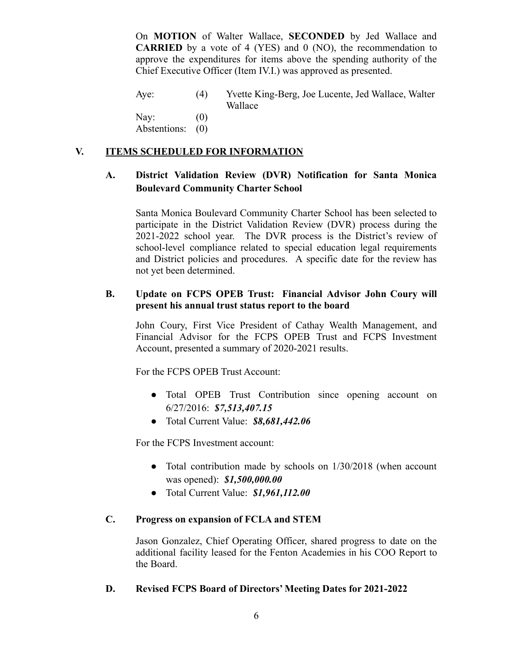On **MOTION** of Walter Wallace, **SECONDED** by Jed Wallace and **CARRIED** by a vote of 4 (YES) and 0 (NO), the recommendation to approve the expenditures for items above the spending authority of the Chief Executive Officer (Item IV.I.) was approved as presented.

Aye: (4) Yvette King-Berg, Joe Lucente, Jed Wallace, Walter Wallace

Nay:  $(0)$ Abstentions: (0)

## **V. ITEMS SCHEDULED FOR INFORMATION**

# **A. District Validation Review (DVR) Notification for Santa Monica Boulevard Community Charter School**

Santa Monica Boulevard Community Charter School has been selected to participate in the District Validation Review (DVR) process during the 2021-2022 school year. The DVR process is the District's review of school-level compliance related to special education legal requirements and District policies and procedures. A specific date for the review has not yet been determined.

## **B. Update on FCPS OPEB Trust: Financial Advisor John Coury will present his annual trust status report to the board**

John Coury, First Vice President of Cathay Wealth Management, and Financial Advisor for the FCPS OPEB Trust and FCPS Investment Account, presented a summary of 2020-2021 results.

For the FCPS OPEB Trust Account:

- Total OPEB Trust Contribution since opening account on 6/27/2016: *\$7,513,407.15*
- Total Current Value: *\$8,681,442.06*

For the FCPS Investment account:

- *●* Total contribution made by schools on 1/30/2018 (when account was opened): *\$1,500,000.00*
- *●* Total Current Value: *\$1,961,112.00*

## **C. Progress on expansion of FCLA and STEM**

Jason Gonzalez, Chief Operating Officer, shared progress to date on the additional facility leased for the Fenton Academies in his COO Report to the Board.

## **D. Revised FCPS Board of Directors' Meeting Dates for 2021-2022**